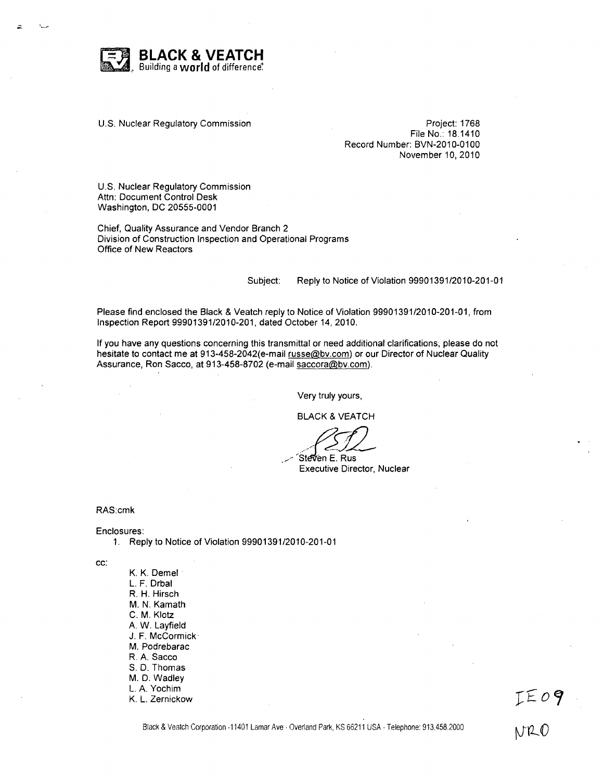

U.S. Nuclear Regulatory Commission **Project: 1768** 

File No.: 18.1410 Record Number: BVN-2010-0100 November **10,** 2010

U.S. Nuclear Regulatory Commission Attn: Document Control Desk Washington, DC 20555-0001

Chief, Quality Assurance and Vendor Branch 2 Division of Construction Inspection and Operational Programs Office of New Reactors

Subject: Reply to Notice of Violation 99901391/2010-201-01

Please find enclosed the Black & Veatch reply to Notice of Violation 99901391/2010-201-01, from Inspection Report 99901391/2010-201, dated October 14, 2010.

If you have any questions concerning this transmittal or need additional clarifications, please do not hesitate to contact me at 913-458-2042(e-mail russe@bv.com) or our Director of Nuclear Quality Assurance, Ron Sacco, at 913-458-8702 (e-mail saccora@bv.com).

Very truly yours,

BLACK & VEATCH

Steven E. Rus Executive Director, Nuclear

RAS:cmk

Enclosures:

1. Reply to Notice of Violation 99901391/2010-201-01

cc:

K. K. Demel L. F. Drbal R. H. Hirsch M. N. Kamath **C.** M. Klotz A. W. Layfield J. F. McCormick M. Podrebarac R. A. Sacco **S. D.** Thomas M. **D.** Wadley L. A. Yochim K. L. Zernickow

Black & Veatch Corporation .11401 Lamar Ave . Overland Park, KS 66211 USA . Telephone: 913.458.2000

IE09  $NPLC$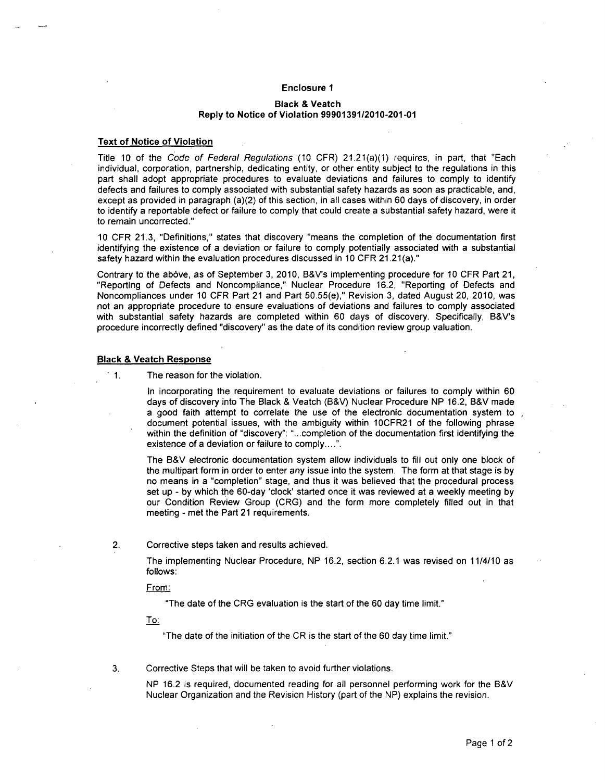## Enclosure **I**

## Black **&** Veatch Reply to Notice of Violation **99901391/2010-201-01**

## Text of Notice of Violation

Title 10 of the *Code of Federal Regulations* (10 CFR) 21.21(a)(1) requires, in part, that "Each individual, corporation, partnership, dedicating entity, or other entity subject to the regulations in this part shall adopt appropriate procedures to evaluate deviations and failures to comply to identify defects and failures to comply associated with substantial safety hazards as soon as practicable, and, except as provided in paragraph (a)(2) of this section, in all cases within 60 days of discovery, in order to identify a reportable defect or failure to comply that could create a substantial safety hazard, were it to remain uncorrected."

10 CFR 21.3, "Definitions," states that discovery "means the completion of the documentation first identifying the existence of a deviation or failure to comply potentially associated with a substantial safety hazard within the evaluation procedures discussed in 10 CFR 21.21(a)."

Contrary to the above, as of September 3, 2010, B&V's implementing procedure for 10 CFR Part 21, "Reporting of Defects and Noncompliance," Nuclear Procedure 16.2, "Reporting of Defects and Noncompliances under 10 CFR Part 21 and Part 50.55(e)," Revision 3, dated August 20, 2010, was not an appropriate procedure to ensure evaluations of deviations and failures to comply associated with substantial safety hazards are completed within 60 days of discovery. Specifically, B&V's procedure incorrectly defined "discovery" as the date of its condition review group valuation.

## Black **&** Veatch Response

• 1. The reason for the violation.

In incorporating the requirement to evaluate deviations or failures to comply within 60 days of discovery into The Black & Veatch (B&V) Nuclear Procedure NP 16.2, B&V made a good faith attempt to correlate the use of the electronic documentation system to document potential issues, with the ambiguity within 10CFR21 of the following phrase within the definition of "discovery": "...completion of the documentation first identifying the existence of a deviation or failure to **comply....".**

The B&V electronic documentation system allow individuals to fill out only one block of the multipart form in order to enter any issue into the system. The form at that stage is by no means in a "completion" stage, and thus it was believed that the procedural process set up - by which the 60-day 'clock' started once it was reviewed at a weekly meeting by our Condition Review Group (CRG) and the form more completely filled out in that meeting - met the Part 21 requirements.

2. Corrective steps taken and results achieved.

The implementing Nuclear Procedure, NP 16.2, section 6.2.1 was revised on 11/4/10 as follows:

From:

"The date of the CRG evaluation is the start of the 60 day time limit."

To:

"The date of the initiation of the CR is the start of the 60 day time limit."

3. Corrective Steps that will be taken to avoid further violations.

NP 16.2 is required, documented reading for all personnel performing work for the B&V Nuclear Organization and the Revision History (part of the NP) explains the revision.